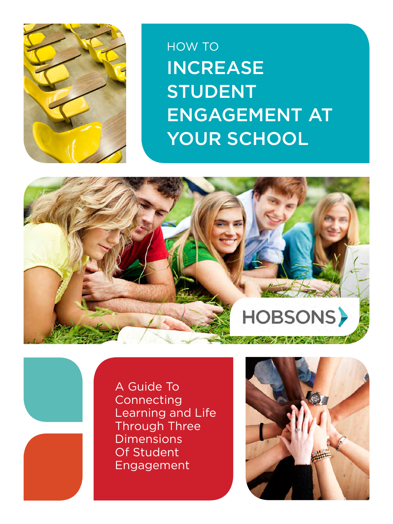

HOW TO INCREASE STUDENT ENGAGEMENT AT YOUR SCHOOL



A Guide To Connecting Learning and Life Through Three **Dimensions** Of Student Engagement

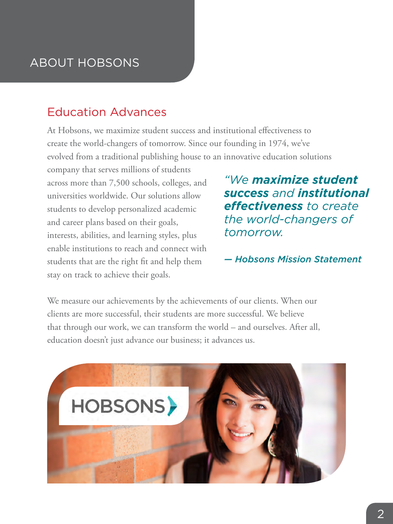# ABOUT HOBSONS

### Education Advances

At Hobsons, we maximize student success and institutional effectiveness to create the world-changers of tomorrow. Since our founding in 1974, we've evolved from a traditional publishing house to an innovative education solutions

company that serves millions of students across more than 7,500 schools, colleges, and universities worldwide. Our solutions allow students to develop personalized academic and career plans based on their goals, interests, abilities, and learning styles, plus enable institutions to reach and connect with students that are the right fit and help them stay on track to achieve their goals.

*"We maximize student success and institutional effectiveness to create the world-changers of tomorrow.* 

#### *— Hobsons Mission Statement*

We measure our achievements by the achievements of our clients. When our clients are more successful, their students are more successful. We believe that through our work, we can transform the world – and ourselves. After all, education doesn't just advance our business; it advances us.

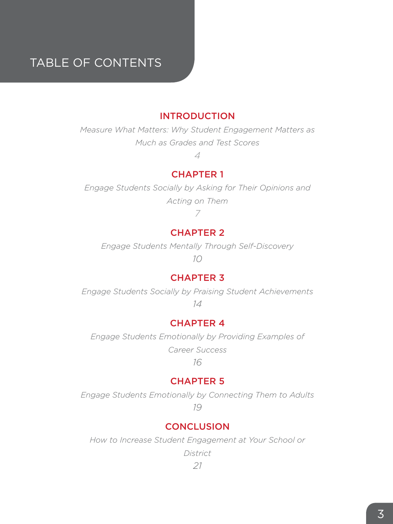# Table of Contents

#### [INTRODUCTION](#page-3-0)

*[Measure What Matters: Why Student Engagement Matters as](#page-3-0)  [Much as Grades and Test Scores](#page-3-0)*

*[4](#page-3-0)*

#### [CHAPTER 1](#page-6-0)

*[Engage Students Socially by Asking for Their Opinions and](#page-6-0)  [Acting on Them](#page-6-0)*

*[7](#page-6-0)*

#### [CHAPTER 2](#page-9-0)

*[Engage Students Mentally Through Self-Discovery](#page-9-0)*

*[10](#page-9-0)*

#### [CHAPTER 3](#page-13-0)

*[Engage Students Socially by Praising Student Achievements](#page-13-0) [14](#page-13-0)*

[CHAPTER 4](#page-15-0)

*[Engage Students Emotionally by Providing Examples of](#page-15-0)* 

*[Career Success](#page-15-0)*

*[16](#page-15-0)*

#### [CHAPTER 5](#page-18-0)

*[Engage Students Emotionally by Connecting Them to Adults](#page-18-0)*

*[19](#page-18-0)*

#### **[CONCLUSION](#page-20-0)**

*[How to Increase Student Engagement at Your School or](#page-20-0)* 

*[District](#page-20-0)*

*[21](#page-20-0)*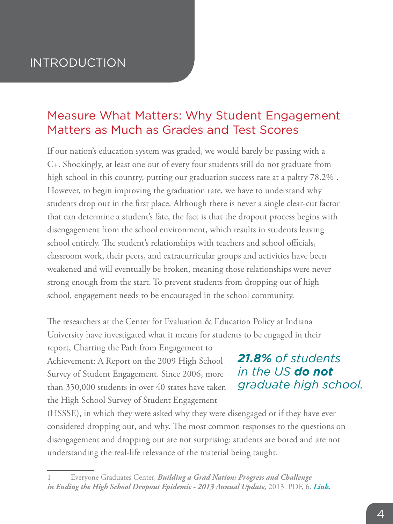### <span id="page-3-0"></span>INTRODUCTION

### Measure What Matters: Why Student Engagement Matters as Much as Grades and Test Scores

If our nation's education system was graded, we would barely be passing with a C+. Shockingly, at least one out of every four students still do not graduate from high school in this country, putting our graduation success rate at a paltry 78.2%<sup>1</sup>. However, to begin improving the graduation rate, we have to understand why students drop out in the first place. Although there is never a single clear-cut factor that can determine a student's fate, the fact is that the dropout process begins with disengagement from the school environment, which results in students leaving school entirely. The student's relationships with teachers and school officials, classroom work, their peers, and extracurricular groups and activities have been weakened and will eventually be broken, meaning those relationships were never strong enough from the start. To prevent students from dropping out of high school, engagement needs to be encouraged in the school community.

The researchers at the Center for Evaluation & Education Policy at Indiana University have investigated what it means for students to be engaged in their

report, Charting the Path from Engagement to Achievement: A Report on the 2009 High School Survey of Student Engagement. Since 2006, more than 350,000 students in over 40 states have taken the High School Survey of Student Engagement

### *21.8% of students in the US do not [graduate high school.](http://new.every1graduates.org/building-a-grad-nation-2012-2013-update/)*

(HSSSE), in which they were asked why they were disengaged or if they have ever considered dropping out, and why. The most common responses to the questions on disengagement and dropping out are not surprising: students are bored and are not understanding the real-life relevance of the material being taught.

<sup>1</sup> Everyone Graduates Center, *Building a Grad Nation: Progress and Challenge in Ending the High School Dropout Epidemic - 2013 Annual Update,* 2013. PDF, 6. *[Link](http://new.every1graduates.org/building-a-grad-nation-2012-2013-update/).*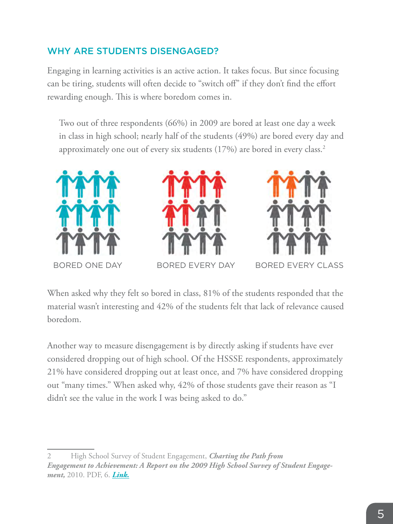### WHY ARE STUDENTS DISENGAGED?

Engaging in learning activities is an active action. It takes focus. But since focusing can be tiring, students will often decide to "switch off" if they don't find the effort rewarding enough. This is where boredom comes in.

Two out of three respondents (66%) in 2009 are bored at least one day a week in class in high school; nearly half of the students (49%) are bored every day and approximately one out of every six students (17%) are bored in every class.<sup>2</sup>







When asked why they felt so bored in class, 81% of the students responded that the material wasn't interesting and 42% of the students felt that lack of relevance caused boredom.

Another way to measure disengagement is by directly asking if students have ever considered dropping out of high school. Of the HSSSE respondents, approximately 21% have considered dropping out at least once, and 7% have considered dropping out "many times." When asked why, 42% of those students gave their reason as "I didn't see the value in the work I was being asked to do."

<sup>2</sup> High School Survey of Student Engagement, *Charting the Path from Engagement to Achievement: A Report on the 2009 High School Survey of Student Engagement,* 2010. PDF, 6. *[Link.](http://ceep.indiana.edu/hssse/news/publications.shtml)*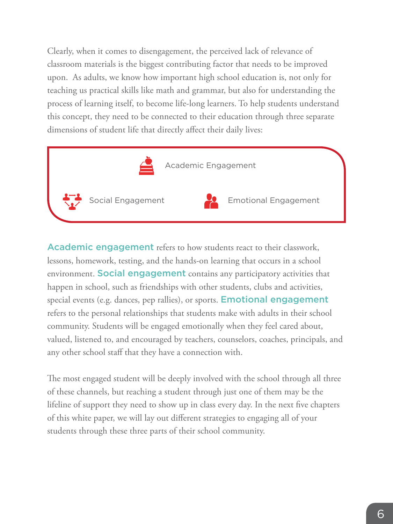Clearly, when it comes to disengagement, the perceived lack of relevance of classroom materials is the biggest contributing factor that needs to be improved upon. As adults, we know how important high school education is, not only for teaching us practical skills like math and grammar, but also for understanding the process of learning itself, to become life-long learners. To help students understand this concept, they need to be connected to their education through three separate dimensions of student life that directly affect their daily lives:



**Academic engagement** refers to how students react to their classwork, lessons, homework, testing, and the hands-on learning that occurs in a school environment. Social engagement contains any participatory activities that happen in school, such as friendships with other students, clubs and activities, special events (e.g. dances, pep rallies), or sports. **Emotional engagement** refers to the personal relationships that students make with adults in their school community. Students will be engaged emotionally when they feel cared about, valued, listened to, and encouraged by teachers, counselors, coaches, principals, and any other school staff that they have a connection with.

The most engaged student will be deeply involved with the school through all three of these channels, but reaching a student through just one of them may be the lifeline of support they need to show up in class every day. In the next five chapters of this white paper, we will lay out different strategies to engaging all of your students through these three parts of their school community.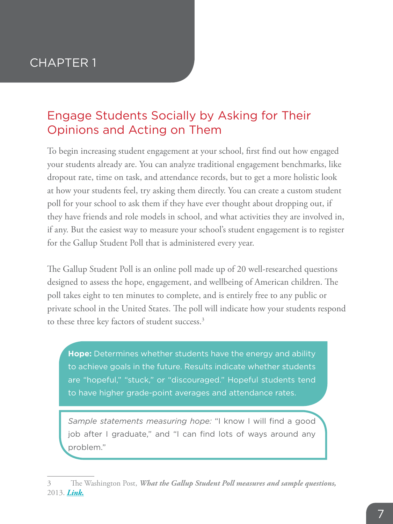# <span id="page-6-0"></span>Engage Students Socially by Asking for Their Opinions and Acting on Them

To begin increasing student engagement at your school, first find out how engaged your students already are. You can analyze traditional engagement benchmarks, like dropout rate, time on task, and attendance records, but to get a more holistic look at how your students feel, try asking them directly. You can create a custom student poll for your school to ask them if they have ever thought about dropping out, if they have friends and role models in school, and what activities they are involved in, if any. But the easiest way to measure your school's student engagement is to register for the Gallup Student Poll that is administered every year.

The Gallup Student Poll is an online poll made up of 20 well-researched questions designed to assess the hope, engagement, and wellbeing of American children. The poll takes eight to ten minutes to complete, and is entirely free to any public or private school in the United States. The poll will indicate how your students respond to these three key factors of student success.<sup>3</sup>

**Hope:** Determines whether students have the energy and ability to achieve goals in the future. Results indicate whether students are "hopeful," "stuck," or "discouraged." Hopeful students tend to have higher grade-point averages and attendance rates.

*Sample statements measuring hope:* "I know I will find a good job after I graduate," and "I can find lots of ways around any problem."

<sup>3</sup> The Washington Post, *What the Gallup Student Poll measures and sample questions,*  2013. *[Link.](http://articles.washingtonpost.com/2013-07-17/local/40628355_1_sample-questions-engaged-students-ladder)*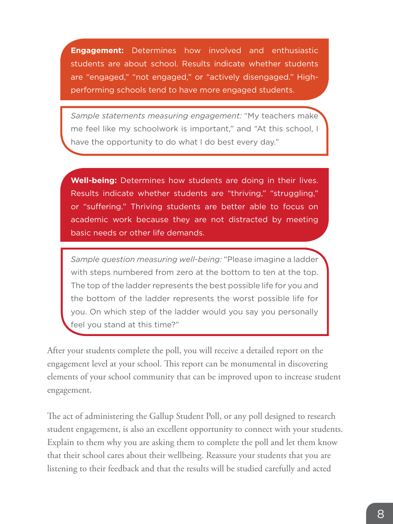**Engagement:** Determines how involved and enthusiastic students are about school. Results indicate whether students are "engaged," "not engaged," or "actively disengaged." Highperforming schools tend to have more engaged students.

*Sample statements measuring engagement:* "My teachers make me feel like my schoolwork is important," and "At this school, I have the opportunity to do what I do best every day."

**Well-being:** Determines how students are doing in their lives. Results indicate whether students are "thriving," "struggling," or "suffering." Thriving students are better able to focus on academic work because they are not distracted by meeting basic needs or other life demands.

*Sample question measuring well-being:* "Please imagine a ladder with steps numbered from zero at the bottom to ten at the top. The top of the ladder represents the best possible life for you and the bottom of the ladder represents the worst possible life for you. On which step of the ladder would you say you personally feel you stand at this time?"

After your students complete the poll, you will receive a detailed report on the engagement level at your school. This report can be monumental in discovering elements of your school community that can be improved upon to increase student engagement.

The act of administering the Gallup Student Poll, or any poll designed to research student engagement, is also an excellent opportunity to connect with your students. Explain to them why you are asking them to complete the poll and let them know that their school cares about their wellbeing. Reassure your students that you are listening to their feedback and that the results will be studied carefully and acted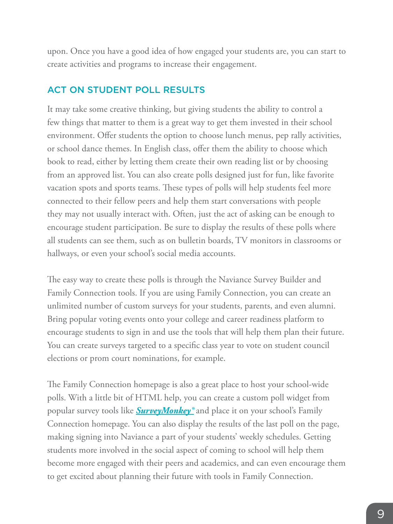upon. Once you have a good idea of how engaged your students are, you can start to create activities and programs to increase their engagement.

#### ACT ON STUDENT POLL RESULTS

It may take some creative thinking, but giving students the ability to control a few things that matter to them is a great way to get them invested in their school environment. Offer students the option to choose lunch menus, pep rally activities, or school dance themes. In English class, offer them the ability to choose which book to read, either by letting them create their own reading list or by choosing from an approved list. You can also create polls designed just for fun, like favorite vacation spots and sports teams. These types of polls will help students feel more connected to their fellow peers and help them start conversations with people they may not usually interact with. Often, just the act of asking can be enough to encourage student participation. Be sure to display the results of these polls where all students can see them, such as on bulletin boards, TV monitors in classrooms or hallways, or even your school's social media accounts.

The easy way to create these polls is through the Naviance Survey Builder and Family Connection tools. If you are using Family Connection, you can create an unlimited number of custom surveys for your students, parents, and even alumni. Bring popular voting events onto your college and career readiness platform to encourage students to sign in and use the tools that will help them plan their future. You can create surveys targeted to a specific class year to vote on student council elections or prom court nominations, for example.

The Family Connection homepage is also a great place to host your school-wide polls. With a little bit of HTML help, you can create a custom poll widget from popular survey tools like *[SurveyMonkey®](http://www.surveymonkey.com)* and place it on your school's Family Connection homepage. You can also display the results of the last poll on the page, making signing into Naviance a part of your students' weekly schedules. Getting students more involved in the social aspect of coming to school will help them become more engaged with their peers and academics, and can even encourage them to get excited about planning their future with tools in Family Connection.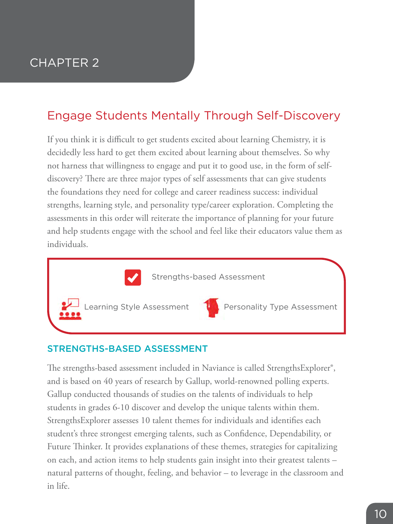# <span id="page-9-0"></span>Engage Students Mentally Through Self-Discovery

If you think it is difficult to get students excited about learning Chemistry, it is decidedly less hard to get them excited about learning about themselves. So why not harness that willingness to engage and put it to good use, in the form of selfdiscovery? There are three major types of self assessments that can give students the foundations they need for college and career readiness success: individual strengths, learning style, and personality type/career exploration. Completing the assessments in this order will reiterate the importance of planning for your future and help students engage with the school and feel like their educators value them as individuals.



#### STRENGTHS-BASED ASSESSMENT

The strengths-based assessment included in Naviance is called StrengthsExplorer®, and is based on 40 years of research by Gallup, world-renowned polling experts. Gallup conducted thousands of studies on the talents of individuals to help students in grades 6-10 discover and develop the unique talents within them. StrengthsExplorer assesses 10 talent themes for individuals and identifies each student's three strongest emerging talents, such as Confidence, Dependability, or Future Thinker. It provides explanations of these themes, strategies for capitalizing on each, and action items to help students gain insight into their greatest talents – natural patterns of thought, feeling, and behavior – to leverage in the classroom and in life.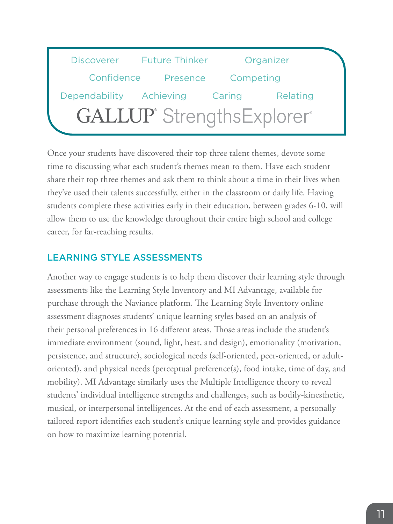

Once your students have discovered their top three talent themes, devote some time to discussing what each student's themes mean to them. Have each student share their top three themes and ask them to think about a time in their lives when they've used their talents successfully, either in the classroom or daily life. Having students complete these activities early in their education, between grades 6-10, will allow them to use the knowledge throughout their entire high school and college career, for far-reaching results.

#### LEARNING STYLE ASSESSMENTS

Another way to engage students is to help them discover their learning style through assessments like the Learning Style Inventory and MI Advantage, available for purchase through the Naviance platform. The Learning Style Inventory online assessment diagnoses students' unique learning styles based on an analysis of their personal preferences in 16 different areas. Those areas include the student's immediate environment (sound, light, heat, and design), emotionality (motivation, persistence, and structure), sociological needs (self-oriented, peer-oriented, or adultoriented), and physical needs (perceptual preference(s), food intake, time of day, and mobility). MI Advantage similarly uses the Multiple Intelligence theory to reveal students' individual intelligence strengths and challenges, such as bodily-kinesthetic, musical, or interpersonal intelligences. At the end of each assessment, a personally tailored report identifies each student's unique learning style and provides guidance on how to maximize learning potential.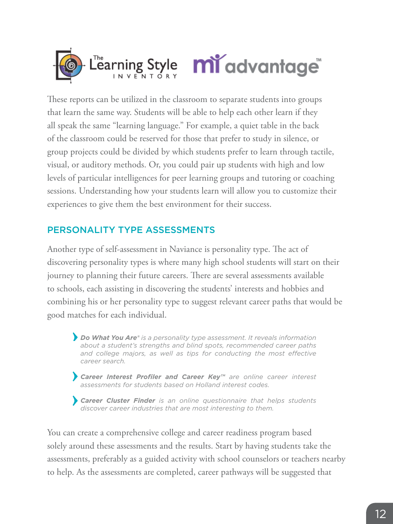

These reports can be utilized in the classroom to separate students into groups that learn the same way. Students will be able to help each other learn if they all speak the same "learning language." For example, a quiet table in the back of the classroom could be reserved for those that prefer to study in silence, or group projects could be divided by which students prefer to learn through tactile, visual, or auditory methods. Or, you could pair up students with high and low levels of particular intelligences for peer learning groups and tutoring or coaching sessions. Understanding how your students learn will allow you to customize their experiences to give them the best environment for their success.

### PERSONALITY TYPE ASSESSMENTS

Another type of self-assessment in Naviance is personality type. The act of discovering personality types is where many high school students will start on their journey to planning their future careers. There are several assessments available to schools, each assisting in discovering the students' interests and hobbies and combining his or her personality type to suggest relevant career paths that would be good matches for each individual.

*Do What You Are® is a personality type assessment. It reveals information about a student's strengths and blind spots, recommended career paths*  and college majors, as well as tips for conducting the most effective *career search.*

*Career Interest Profiler and Career Key™ are online career interest assessments for students based on Holland interest codes.* 

*Career Cluster Finder is an online questionnaire that helps students discover career industries that are most interesting to them.*

You can create a comprehensive college and career readiness program based solely around these assessments and the results. Start by having students take the assessments, preferably as a guided activity with school counselors or teachers nearby to help. As the assessments are completed, career pathways will be suggested that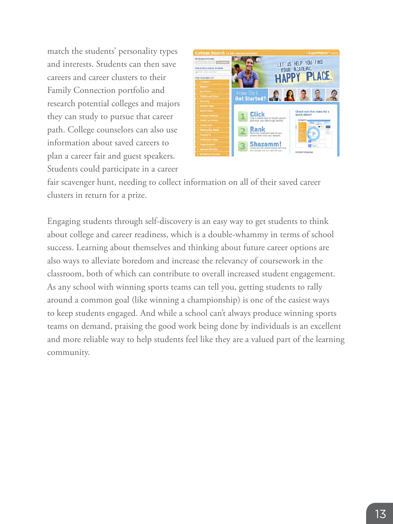match the students' personality types and interests. Students can then save careers and career clusters to their Family Connection portfolio and research potential colleges and majors they can study to pursue that career path. College counselors can also use information about saved careers to plan a career fair and guest speakers. Students could participate in a career



fair scavenger hunt, needing to collect information on all of their saved career clusters in return for a prize.

Engaging students through self-discovery is an easy way to get students to think about college and career readiness, which is a double-whammy in terms of school success. Learning about themselves and thinking about future career options are also ways to alleviate boredom and increase the relevancy of coursework in the classroom, both of which can contribute to overall increased student engagement. As any school with winning sports teams can tell you, getting students to rally around a common goal (like winning a championship) is one of the easiest ways to keep students engaged. And while a school can't always produce winning sports teams on demand, praising the good work being done by individuals is an excellent and more reliable way to help students feel like they are a valued part of the learning community.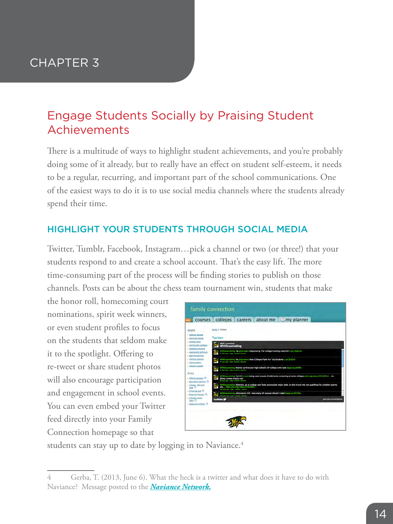### <span id="page-13-0"></span>Engage Students Socially by Praising Student Achievements

There is a multitude of ways to highlight student achievements, and you're probably doing some of it already, but to really have an effect on student self-esteem, it needs to be a regular, recurring, and important part of the school communications. One of the easiest ways to do it is to use social media channels where the students already spend their time.

#### HIGHLIGHT YOUR STUDENTS THROUGH SOCIAL MEDIA

Twitter, Tumblr, Facebook, Instagram…pick a channel or two (or three!) that your students respond to and create a school account. That's the easy lift. The more time-consuming part of the process will be finding stories to publish on those channels. Posts can be about the chess team tournament win, students that make

the honor roll, homecoming court nominations, spirit week winners, or even student profiles to focus on the students that seldom make it to the spotlight. Offering to re-tweet or share student photos will also encourage participation and engagement in school events. You can even embed your Twitter feed directly into your Family Connection homepage so that

|                                                                                 | about $me \Box my$ planner                                                                                                                                                                               |
|---------------------------------------------------------------------------------|----------------------------------------------------------------------------------------------------------------------------------------------------------------------------------------------------------|
| pages                                                                           | Home > Twitter                                                                                                                                                                                           |
| - college bound<br>- personal/social                                            | Twitter                                                                                                                                                                                                  |
| $-$ college prep.<br>- community colleges                                       | <b>WAS counseling</b><br><b>MVHScounseling</b>                                                                                                                                                           |
| - <i>academic/testing</i><br>- vocation & technical<br>· <i>Applenticeships</i> | MVHScounseling VIa @nprnews: Negotiating The College Funding Labyrings n.pr/HQD253<br>22 days ago i reple cretenet i fascrite                                                                            |
| - military socions<br>- more cotions                                            | MVHScounseling Via Copronwic Now Colleges Fight For Top Students n.pr/JLSCkG<br>22 days ago - reply - retweet - Encycle                                                                                  |
| - school>career<br>links                                                        | MVHScounseling How to survive your high school's AP college arms race wapo.st/xAbfhE<br>US days ago - reply - remove - fascista-                                                                         |
| $\rightarrow$ infinite campus<br>· education planner                            | MVHScounseling Turn it in zom being used as part of admission screening at some colleges at n. org/news/2012/01/t via<br>@http://www.skipity.com<br>81 days ago - reply cretamet - Lawritz               |
| - college: why and<br>how -<br>. financial aid C                                | MVHScounseling Dilemma: go to college and likely accumulate major debt, or skip it and risk not qualifying for a higher-paying<br>job video.pbs.org/video/21950981.<br>106 days upo-cooly-retweet-foothe |
| - Priancial Ilteracy (C)                                                        | and MWKSounseling Admissions 101: How many AP courses should I take? wapo.st/AC704y<br>1994 126 days und create commercial forestal                                                                      |
| · college/career<br>links <sup>2</sup>                                          | twitter y<br><b>Join the conversation</b>                                                                                                                                                                |
| - graduate schools                                                              |                                                                                                                                                                                                          |

students can stay up to date by logging in to Naviance.<sup>4</sup>

<sup>4</sup> Gerba, T. (2013, June 6). What the heck is a twitter and what does it have to do with Naviance? Message posted to the *[Naviance Network.](http://community.naviance.com/t5/Peer-Solutions/What-the-heck-is-a-twitter-and-what-does-it-have-to-do-with/m-p/1032/highlight/true)*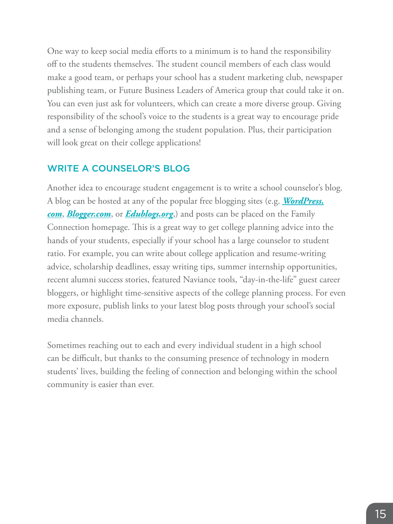One way to keep social media efforts to a minimum is to hand the responsibility off to the students themselves. The student council members of each class would make a good team, or perhaps your school has a student marketing club, newspaper publishing team, or Future Business Leaders of America group that could take it on. You can even just ask for volunteers, which can create a more diverse group. Giving responsibility of the school's voice to the students is a great way to encourage pride and a sense of belonging among the student population. Plus, their participation will look great on their college applications!

#### WRITE A COUNSELOR'S BLOG

Another idea to encourage student engagement is to write a school counselor's blog. A blog can be hosted at any of the popular free blogging sites (e.g. *[WordPress.](http://www.wordpress.com) [com](http://www.wordpress.com)*, *[Blogger.com](http://www.blogger.com)*, or *[Edublogs.org](http://www.edublogs.org)*,) and posts can be placed on the Family Connection homepage. This is a great way to get college planning advice into the hands of your students, especially if your school has a large counselor to student ratio. For example, you can write about college application and resume-writing advice, scholarship deadlines, essay writing tips, summer internship opportunities, recent alumni success stories, featured Naviance tools, "day-in-the-life" guest career bloggers, or highlight time-sensitive aspects of the college planning process. For even more exposure, publish links to your latest blog posts through your school's social media channels.

Sometimes reaching out to each and every individual student in a high school can be difficult, but thanks to the consuming presence of technology in modern students' lives, building the feeling of connection and belonging within the school community is easier than ever.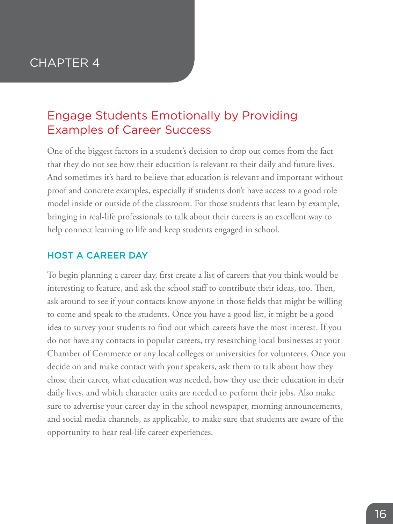### <span id="page-15-0"></span>Engage Students Emotionally by Providing Examples of Career Success

One of the biggest factors in a student's decision to drop out comes from the fact that they do not see how their education is relevant to their daily and future lives. And sometimes it's hard to believe that education is relevant and important without proof and concrete examples, especially if students don't have access to a good role model inside or outside of the classroom. For those students that learn by example, bringing in real-life professionals to talk about their careers is an excellent way to help connect learning to life and keep students engaged in school.

#### HOST A CAREER DAY

To begin planning a career day, first create a list of careers that you think would be interesting to feature, and ask the school staff to contribute their ideas, too. Then, ask around to see if your contacts know anyone in those fields that might be willing to come and speak to the students. Once you have a good list, it might be a good idea to survey your students to find out which careers have the most interest. If you do not have any contacts in popular careers, try researching local businesses at your Chamber of Commerce or any local colleges or universities for volunteers. Once you decide on and make contact with your speakers, ask them to talk about how they chose their career, what education was needed, how they use their education in their daily lives, and which character traits are needed to perform their jobs. Also make sure to advertise your career day in the school newspaper, morning announcements, and social media channels, as applicable, to make sure that students are aware of the opportunity to hear real-life career experiences.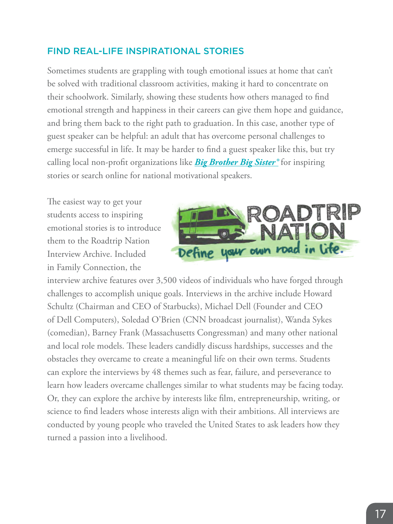#### FIND REAL-LIFE INSPIRATIONAL STORIES

Sometimes students are grappling with tough emotional issues at home that can't be solved with traditional classroom activities, making it hard to concentrate on their schoolwork. Similarly, showing these students how others managed to find emotional strength and happiness in their careers can give them hope and guidance, and bring them back to the right path to graduation. In this case, another type of guest speaker can be helpful: an adult that has overcome personal challenges to emerge successful in life. It may be harder to find a guest speaker like this, but try calling local non-profit organizations like *[Big Brother Big Sister®](http://www.bbbs.org)* for inspiring stories or search online for national motivational speakers.

The easiest way to get your students access to inspiring emotional stories is to introduce them to the Roadtrip Nation Interview Archive. Included in Family Connection, the



interview archive features over 3,500 videos of individuals who have forged through challenges to accomplish unique goals. Interviews in the archive include Howard Schultz (Chairman and CEO of Starbucks), Michael Dell (Founder and CEO of Dell Computers), Soledad O'Brien (CNN broadcast journalist), Wanda Sykes (comedian), Barney Frank (Massachusetts Congressman) and many other national and local role models. These leaders candidly discuss hardships, successes and the obstacles they overcame to create a meaningful life on their own terms. Students can explore the interviews by 48 themes such as fear, failure, and perseverance to learn how leaders overcame challenges similar to what students may be facing today. Or, they can explore the archive by interests like film, entrepreneurship, writing, or science to find leaders whose interests align with their ambitions. All interviews are conducted by young people who traveled the United States to ask leaders how they turned a passion into a livelihood.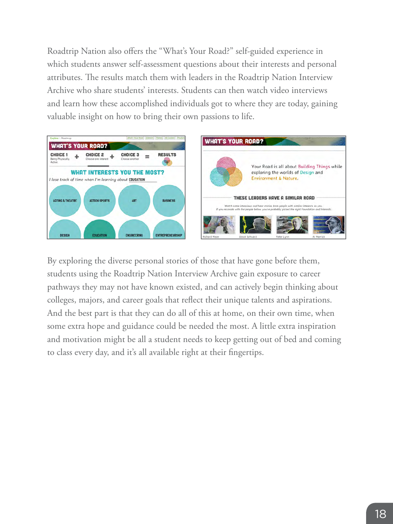Roadtrip Nation also offers the "What's Your Road?" self-guided experience in which students answer self-assessment questions about their interests and personal attributes. The results match them with leaders in the Roadtrip Nation Interview Archive who share students' interests. Students can then watch video interviews and learn how these accomplished individuals got to where they are today, gaining valuable insight on how to bring their own passions to life.



By exploring the diverse personal stories of those that have gone before them, students using the Roadtrip Nation Interview Archive gain exposure to career pathways they may not have known existed, and can actively begin thinking about colleges, majors, and career goals that reflect their unique talents and aspirations. And the best part is that they can do all of this at home, on their own time, when some extra hope and guidance could be needed the most. A little extra inspiration and motivation might be all a student needs to keep getting out of bed and coming to class every day, and it's all available right at their fingertips.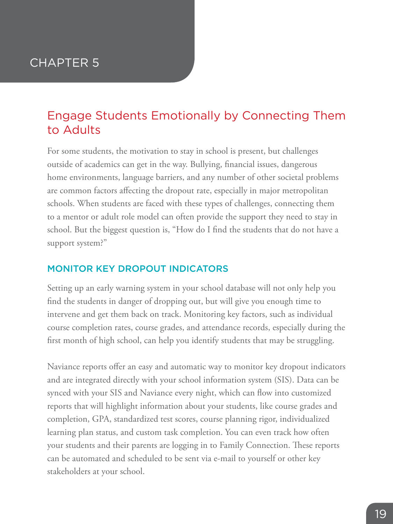### <span id="page-18-0"></span>Engage Students Emotionally by Connecting Them to Adults

For some students, the motivation to stay in school is present, but challenges outside of academics can get in the way. Bullying, financial issues, dangerous home environments, language barriers, and any number of other societal problems are common factors affecting the dropout rate, especially in major metropolitan schools. When students are faced with these types of challenges, connecting them to a mentor or adult role model can often provide the support they need to stay in school. But the biggest question is, "How do I find the students that do not have a support system?"

#### MONITOR KEY DROPOUT INDICATORS

Setting up an early warning system in your school database will not only help you find the students in danger of dropping out, but will give you enough time to intervene and get them back on track. Monitoring key factors, such as individual course completion rates, course grades, and attendance records, especially during the first month of high school, can help you identify students that may be struggling.

Naviance reports offer an easy and automatic way to monitor key dropout indicators and are integrated directly with your school information system (SIS). Data can be synced with your SIS and Naviance every night, which can flow into customized reports that will highlight information about your students, like course grades and completion, GPA, standardized test scores, course planning rigor, individualized learning plan status, and custom task completion. You can even track how often your students and their parents are logging in to Family Connection. These reports can be automated and scheduled to be sent via e-mail to yourself or other key stakeholders at your school.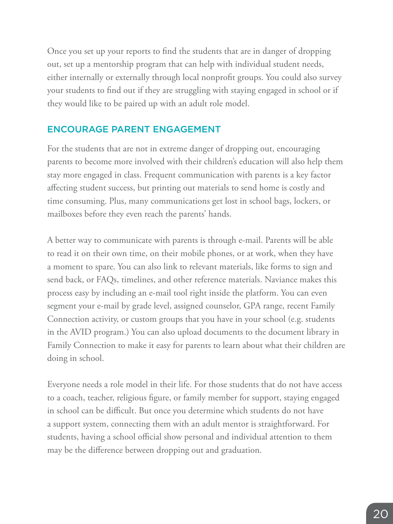Once you set up your reports to find the students that are in danger of dropping out, set up a mentorship program that can help with individual student needs, either internally or externally through local nonprofit groups. You could also survey your students to find out if they are struggling with staying engaged in school or if they would like to be paired up with an adult role model.

#### ENCOURAGE PARENT ENGAGEMENT

For the students that are not in extreme danger of dropping out, encouraging parents to become more involved with their children's education will also help them stay more engaged in class. Frequent communication with parents is a key factor affecting student success, but printing out materials to send home is costly and time consuming. Plus, many communications get lost in school bags, lockers, or mailboxes before they even reach the parents' hands.

A better way to communicate with parents is through e-mail. Parents will be able to read it on their own time, on their mobile phones, or at work, when they have a moment to spare. You can also link to relevant materials, like forms to sign and send back, or FAQs, timelines, and other reference materials. Naviance makes this process easy by including an e-mail tool right inside the platform. You can even segment your e-mail by grade level, assigned counselor, GPA range, recent Family Connection activity, or custom groups that you have in your school (e.g. students in the AVID program.) You can also upload documents to the document library in Family Connection to make it easy for parents to learn about what their children are doing in school.

Everyone needs a role model in their life. For those students that do not have access to a coach, teacher, religious figure, or family member for support, staying engaged in school can be difficult. But once you determine which students do not have a support system, connecting them with an adult mentor is straightforward. For students, having a school official show personal and individual attention to them may be the difference between dropping out and graduation.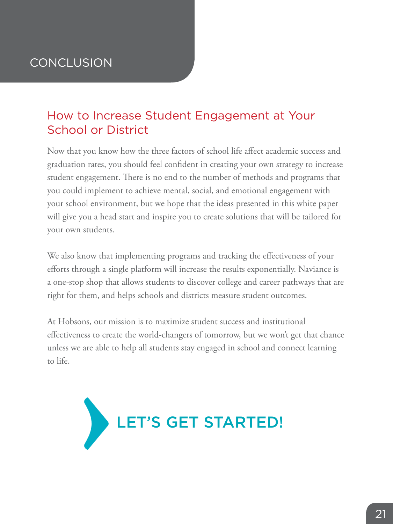# <span id="page-20-0"></span>**CONCLUSION**

## How to Increase Student Engagement at Your School or District

Now that you know how the three factors of school life affect academic success and graduation rates, you should feel confident in creating your own strategy to increase student engagement. There is no end to the number of methods and programs that you could implement to achieve mental, social, and emotional engagement with your school environment, but we hope that the ideas presented in this white paper will give you a head start and inspire you to create solutions that will be tailored for your own students.

We also know that implementing programs and tracking the effectiveness of your efforts through a single platform will increase the results exponentially. Naviance is a one-stop shop that allows students to discover college and career pathways that are right for them, and helps schools and districts measure student outcomes.

At Hobsons, our mission is to maximize student success and institutional effectiveness to create the world-changers of tomorrow, but we won't get that chance unless we are able to help all students stay engaged in school and connect learning to life.